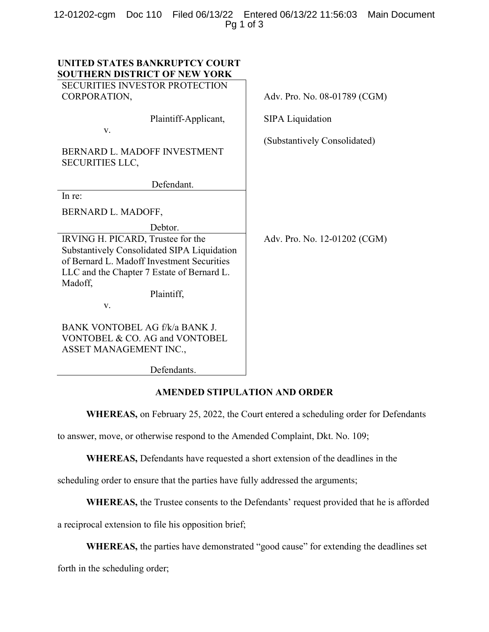|               |  |  | 12-01202-cgm Doc 110 Filed 06/13/22 Entered 06/13/22 11:56:03 Main Document |  |
|---------------|--|--|-----------------------------------------------------------------------------|--|
| Pg $1$ of $3$ |  |  |                                                                             |  |

| UNITED STATES BANKRUPTCY COURT<br><b>SOUTHERN DISTRICT OF NEW YORK</b><br><b>SECURITIES INVESTOR PROTECTION</b>                                                                         |                              |
|-----------------------------------------------------------------------------------------------------------------------------------------------------------------------------------------|------------------------------|
| CORPORATION,                                                                                                                                                                            | Adv. Pro. No. 08-01789 (CGM) |
| Plaintiff-Applicant,<br>V.                                                                                                                                                              | <b>SIPA Liquidation</b>      |
| BERNARD L. MADOFF INVESTMENT<br><b>SECURITIES LLC,</b>                                                                                                                                  | (Substantively Consolidated) |
| Defendant.                                                                                                                                                                              |                              |
| In re:                                                                                                                                                                                  |                              |
| BERNARD L. MADOFF,                                                                                                                                                                      |                              |
| Debtor.                                                                                                                                                                                 |                              |
| IRVING H. PICARD, Trustee for the<br>Substantively Consolidated SIPA Liquidation<br>of Bernard L. Madoff Investment Securities<br>LLC and the Chapter 7 Estate of Bernard L.<br>Madoff, | Adv. Pro. No. 12-01202 (CGM) |
| Plaintiff,                                                                                                                                                                              |                              |
| V.                                                                                                                                                                                      |                              |
| BANK VONTOBEL AG f/k/a BANK J.<br>VONTOBEL & CO. AG and VONTOBEL<br>ASSET MANAGEMENT INC.,                                                                                              |                              |
| Defendants.                                                                                                                                                                             |                              |

### AMENDED STIPULATION AND ORDER

WHEREAS, on February 25, 2022, the Court entered a scheduling order for Defendants

to answer, move, or otherwise respond to the Amended Complaint, Dkt. No. 109;

WHEREAS, Defendants have requested a short extension of the deadlines in the

scheduling order to ensure that the parties have fully addressed the arguments;

WHEREAS, the Trustee consents to the Defendants' request provided that he is afforded

a reciprocal extension to file his opposition brief;

WHEREAS, the parties have demonstrated "good cause" for extending the deadlines set

forth in the scheduling order;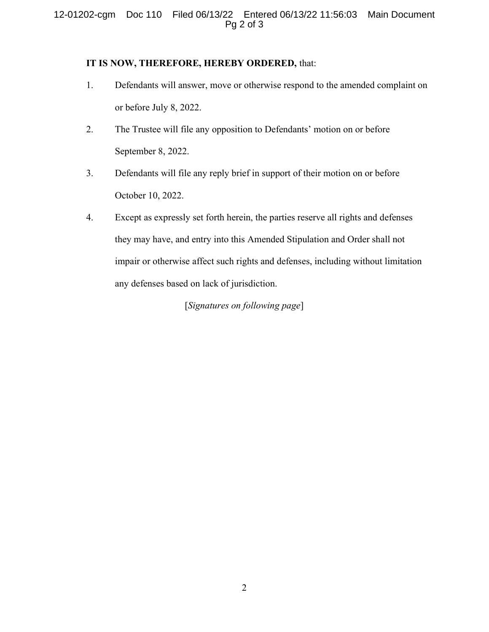## 12-01202-cgm Doc 110 Filed 06/13/22 Entered 06/13/22 11:56:03 Main Document Pg 2 of 3

### IT IS NOW, THEREFORE, HEREBY ORDERED, that:

- 1. Defendants will answer, move or otherwise respond to the amended complaint on or before July 8, 2022.
- 2. The Trustee will file any opposition to Defendants' motion on or before September 8, 2022.
- 3. Defendants will file any reply brief in support of their motion on or before October 10, 2022.
- 4. Except as expressly set forth herein, the parties reserve all rights and defenses they may have, and entry into this Amended Stipulation and Order shall not impair or otherwise affect such rights and defenses, including without limitation any defenses based on lack of jurisdiction.

[Signatures on following page]